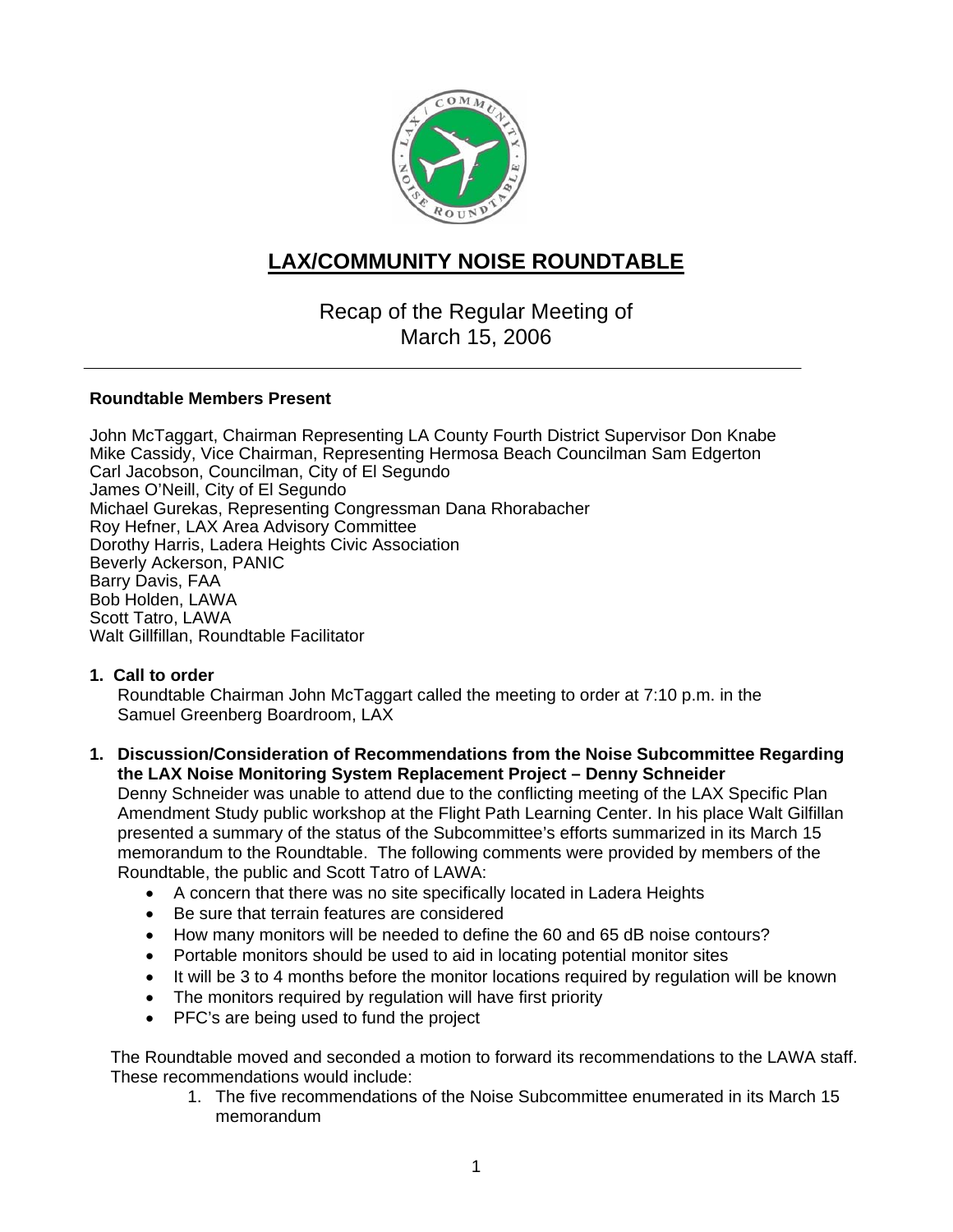

# **LAX/COMMUNITY NOISE ROUNDTABLE**

# Recap of the Regular Meeting of March 15, 2006

#### **Roundtable Members Present**

John McTaggart, Chairman Representing LA County Fourth District Supervisor Don Knabe Mike Cassidy, Vice Chairman, Representing Hermosa Beach Councilman Sam Edgerton Carl Jacobson, Councilman, City of El Segundo James O'Neill, City of El Segundo Michael Gurekas, Representing Congressman Dana Rhorabacher Roy Hefner, LAX Area Advisory Committee Dorothy Harris, Ladera Heights Civic Association Beverly Ackerson, PANIC Barry Davis, FAA Bob Holden, LAWA Scott Tatro, LAWA Walt Gillfillan, Roundtable Facilitator

## **1. Call to order**

Roundtable Chairman John McTaggart called the meeting to order at 7:10 p.m. in the Samuel Greenberg Boardroom, LAX

#### **1. Discussion/Consideration of Recommendations from the Noise Subcommittee Regarding the LAX Noise Monitoring System Replacement Project – Denny Schneider**

Denny Schneider was unable to attend due to the conflicting meeting of the LAX Specific Plan Amendment Study public workshop at the Flight Path Learning Center. In his place Walt Gilfillan presented a summary of the status of the Subcommittee's efforts summarized in its March 15 memorandum to the Roundtable. The following comments were provided by members of the Roundtable, the public and Scott Tatro of LAWA:

- A concern that there was no site specifically located in Ladera Heights
- Be sure that terrain features are considered
- How many monitors will be needed to define the 60 and 65 dB noise contours?
- Portable monitors should be used to aid in locating potential monitor sites
- It will be 3 to 4 months before the monitor locations required by regulation will be known
- The monitors required by regulation will have first priority
- PFC's are being used to fund the project

The Roundtable moved and seconded a motion to forward its recommendations to the LAWA staff. These recommendations would include:

> 1. The five recommendations of the Noise Subcommittee enumerated in its March 15 memorandum